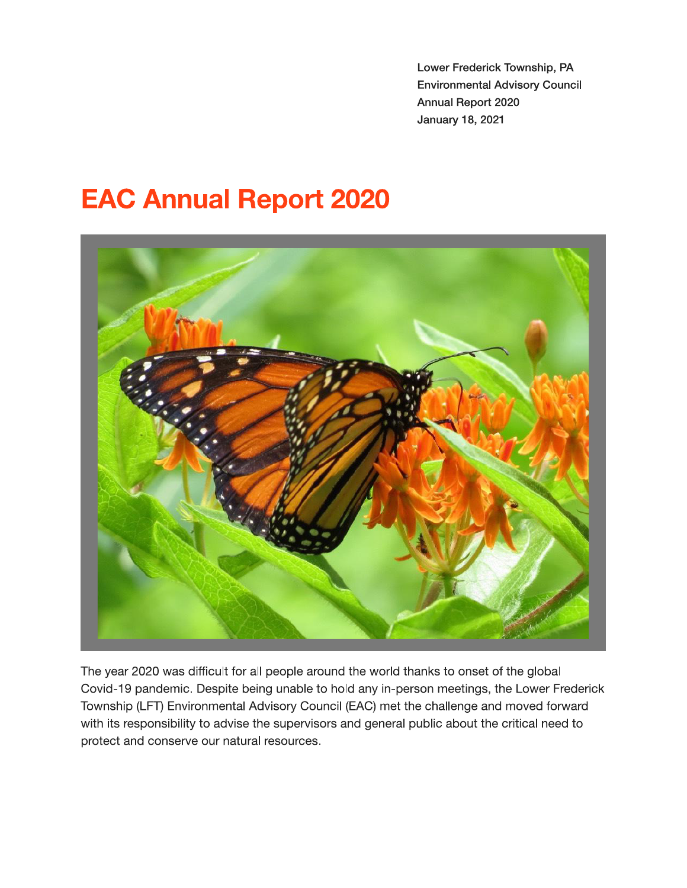and the contract of the contract of the contract of the contract of the contract of the contract of the contract of the contract of the contract of the contract of the contract of the contract of the contract of the contra wer Frederick Township. PA **Environmental Advisory Council** Annual Report 2020



The year 2020 was difficult for all people around the world thanks to onset of the global Covid-19 pandemic. Despite being unable to hold any in-person meetings, the Lower Frederick Township (LFT) Environmental Advisory Council (EAC) met the challenge and moved forward with its responsibility to advise the supervisors and general public about the critical need to protect and conserve our natural resources.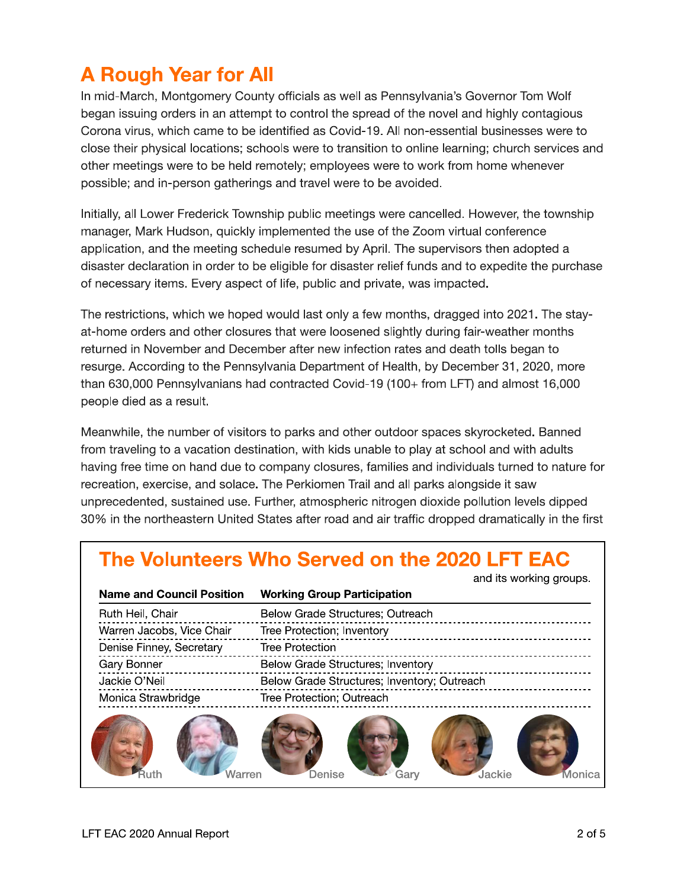## **A Rough Year for All**

In mid-March, Montgomery County officials as well as Pennsylvania's Governor Tom Wolf began issuing orders in an attempt to control the spread of the novel and highly contagious Corona virus, which came to be identified as Covid-19. All non-essential businesses were to close their physical locations; schools were to transition to online learning; church services and other meetings were to be held remotely; employees were to work from home whenever possible; and in-person gatherings and travel were to be avoided.

Initially, all Lower Frederick Township public meetings were cancelled. However, the township manager, Mark Hudson, quickly implemented the use of the Zoom virtual conference application, and the meeting schedule resumed by April. The supervisors then adopted a disaster declaration in order to be eligible for disaster relief funds and to expedite the purchase of necessary items. Every aspect of life, public and private, was impacted.

The restrictions, which we hoped would last only a few months, dragged into 2021. The stayat-home orders and other closures that were loosened slightly during fair-weather months returned in November and December after new infection rates and death tolls began to resurge. According to the Pennsylvania Department of Health, by December 31, 2020, more than 630,000 Pennsylvanians had contracted Covid-19 (100+ from LFT) and almost 16,000 people died as a result.

Meanwhile, the number of visitors to parks and other outdoor spaces skyrocketed. Banned from traveling to a vacation destination, with kids unable to play at school and with adults having free time on hand due to company closures, families and individuals turned to nature for recreation, exercise, and solace. The Perkiomen Trail and all parks alongside it saw unprecedented, sustained use. Further, atmospheric nitrogen dioxide pollution levels dipped 30% in the northeastern United States after road and air traffic dropped dramatically in the first

|                                  | and no monthly grouper                      |
|----------------------------------|---------------------------------------------|
| <b>Name and Council Position</b> | <b>Working Group Participation</b>          |
| Ruth Heil, Chair                 | Below Grade Structures; Outreach            |
| Warren Jacobs, Vice Chair        | Tree Protection; Inventory                  |
| Denise Finney, Secretary         | Tree Protection                             |
| Gary Bonner                      | Below Grade Structures; Inventory           |
| Jackie O'Neil                    | Below Grade Structures; Inventory; Outreach |
| Monica Strawbridge               | Tree Protection; Outreach                   |
| <b>Jarren</b>                    | Jackie<br>Denise<br>lonica<br>Garv          |

and its working groups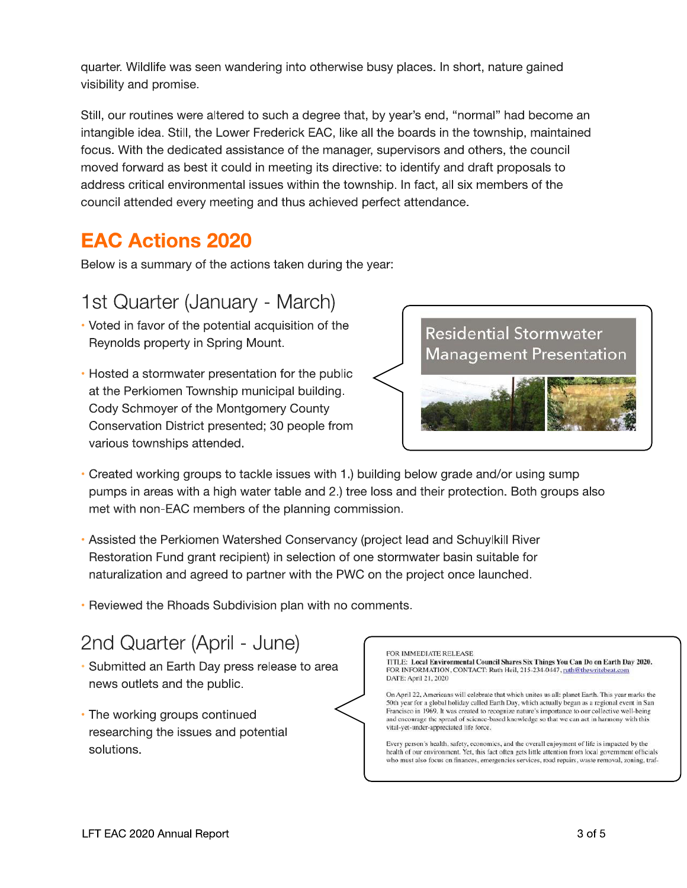quarter. Wildlife was seen wandering into otherwise busy places. In short, nature gained visibility and promise.

Still, our routines were altered to such a degree that, by year's end, "normal" had become an intangible idea. Still, the Lower Frederick EAC, like all the boards in the township, maintained focus. With the dedicated assistance of the manager, supervisors and others, the council moved forward as best it could in meeting its directive: to identify and draft proposals to address critical environmental issues within the township. In fact, all six members of the council attended every meeting and thus achieved perfect attendance.

### **EAC Actions 2020**

Below is a summary of the actions taken during the year:

### 1st Quarter (January - March)

- Voted in favor of the potential acquisition of the Reynolds property in Spring Mount.
- Hosted a stormwater presentation for the public at the Perkiomen Township municipal building. Cody Schmoyer of the Montgomery County Conservation District presented; 30 people from various townships attended.



- Created working groups to tackle issues with 1.) building below grade and/or using sump pumps in areas with a high water table and 2.) tree loss and their protection. Both groups also met with non-EAC members of the planning commission.
- Assisted the Perkiomen Watershed Conservancy (project lead and Schuylkill River Restoration Fund grant recipient) in selection of one stormwater basin suitable for naturalization and agreed to partner with the PWC on the project once launched.
- Reviewed the Rhoads Subdivision plan with no comments.

### 2nd Quarter (April - June)

- · Submitted an Earth Day press release to area news outlets and the public.
- The working groups continued researching the issues and potential solutions.

### FOR IMMEDIATE REI FASE

**TTLE: Local Environmental Council Shares Six Things You Can Do on Earth Day 2020.** FOR INFORMATION, CONTACT: Ruth Heil, 215-234-0447, ruth@thewritebeat.com DATE: April 21, 2020

On April 22, Americans will celebrate that which unites us all: planet Earth, This year marks the 50th year for a global holiday called Earth Day, which actually began as a regional event in San Francisco in 1969. It was created to recognize nature's importance to our collective well-being and encourage the spread of science-based knowledge so that we can act in harmony with this vital-yet-under-appreciated life force.

Every person's health, safety, economics, and the overall enjoyment of life is impacted by the health of our environment. Yet, this fact often gets little attention from local government officials who must also focus on finances, emergencies services, road repairs, waste removal, zoning, traf-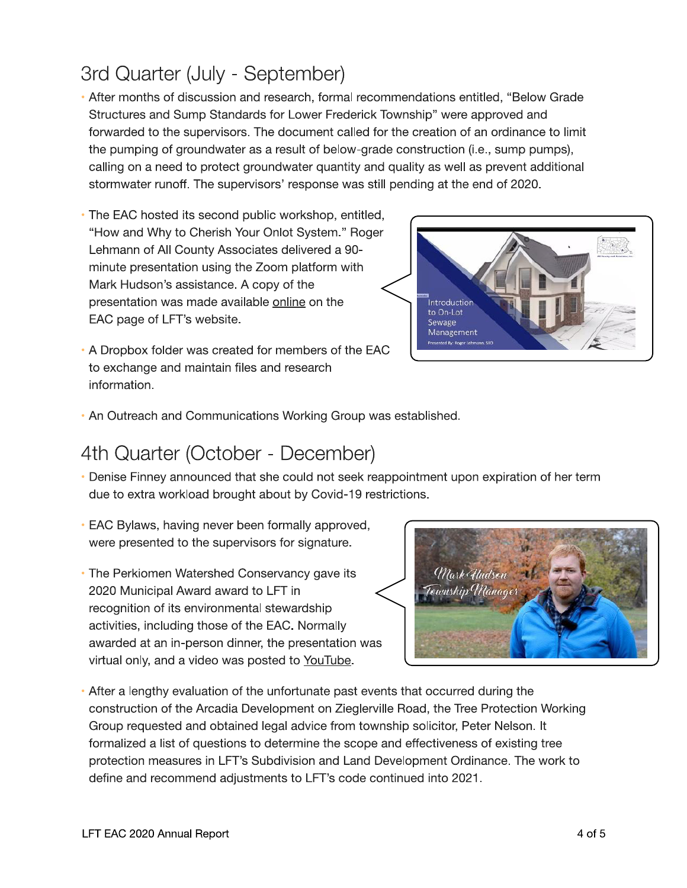### LFT EAC 2020 Annual Report

### 3rd Quarter (July - September)

- After months of discussion and research, formal recommendations entitled, "Below Grade Structures and Sump Standards for Lower Frederick Township" were approved and forwarded to the supervisors. The document called for the creation of an ordinance to limit the pumping of groundwater as a result of below-grade construction (i.e., sump pumps). calling on a need to protect groundwater quantity and quality as well as prevent additional stormwater runoff. The supervisors' response was still pending at the end of 2020.
- The EAC hosted its second public workshop, entitled, "How and Why to Cherish Your Onlot System." Roger Lehmann of All County Associates delivered a 90minute presentation using the Zoom platform with Mark Hudson's assistance. A copy of the presentation was made available online on the EAC page of LFT's website.
- . A Dropbox folder was created for members of the EAC to exchange and maintain files and research information.

# .<br>Introduction to On-Lot Sewage Management **nted By: Roger Leh**

• An Outreach and Communications Working Group was established.

### 4th Quarter (October - December)

- Denise Finney announced that she could not seek reappointment upon expiration of her term due to extra workload brought about by Covid-19 restrictions.
- EAC Bylaws, having never been formally approved, were presented to the supervisors for signature.
- The Perkiomen Watershed Conservancy gave its 2020 Municipal Award award to LFT in recognition of its environmental stewardship activities, including those of the EAC. Normally awarded at an in-person dinner, the presentation was virtual only, and a video was posted to YouTube.



• After a lengthy evaluation of the unfortunate past events that occurred during the construction of the Arcadia Development on Zieglerville Road, the Tree Protection Working Group requested and obtained legal advice from township solicitor, Peter Nelson. It formalized a list of questions to determine the scope and effectiveness of existing tree protection measures in LFT's Subdivision and Land Development Ordinance. The work to define and recommend adjustments to LFT's code continued into 2021.